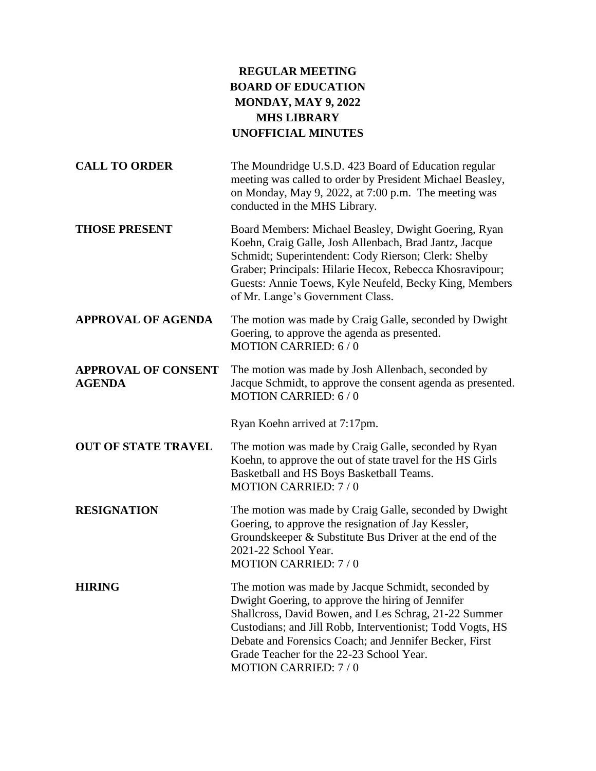## **REGULAR MEETING BOARD OF EDUCATION MONDAY, MAY 9, 2022 MHS LIBRARY UNOFFICIAL MINUTES**

| <b>CALL TO ORDER</b>                        | The Moundridge U.S.D. 423 Board of Education regular<br>meeting was called to order by President Michael Beasley,<br>on Monday, May 9, 2022, at 7:00 p.m. The meeting was<br>conducted in the MHS Library.                                                                                                                                                         |
|---------------------------------------------|--------------------------------------------------------------------------------------------------------------------------------------------------------------------------------------------------------------------------------------------------------------------------------------------------------------------------------------------------------------------|
| <b>THOSE PRESENT</b>                        | Board Members: Michael Beasley, Dwight Goering, Ryan<br>Koehn, Craig Galle, Josh Allenbach, Brad Jantz, Jacque<br>Schmidt; Superintendent: Cody Rierson; Clerk: Shelby<br>Graber; Principals: Hilarie Hecox, Rebecca Khosravipour;<br>Guests: Annie Toews, Kyle Neufeld, Becky King, Members<br>of Mr. Lange's Government Class.                                   |
| <b>APPROVAL OF AGENDA</b>                   | The motion was made by Craig Galle, seconded by Dwight<br>Goering, to approve the agenda as presented.<br>MOTION CARRIED: 6/0                                                                                                                                                                                                                                      |
| <b>APPROVAL OF CONSENT</b><br><b>AGENDA</b> | The motion was made by Josh Allenbach, seconded by<br>Jacque Schmidt, to approve the consent agenda as presented.<br><b>MOTION CARRIED: 6/0</b>                                                                                                                                                                                                                    |
|                                             | Ryan Koehn arrived at 7:17pm.                                                                                                                                                                                                                                                                                                                                      |
| <b>OUT OF STATE TRAVEL</b>                  | The motion was made by Craig Galle, seconded by Ryan<br>Koehn, to approve the out of state travel for the HS Girls<br>Basketball and HS Boys Basketball Teams.<br><b>MOTION CARRIED: 7/0</b>                                                                                                                                                                       |
| <b>RESIGNATION</b>                          | The motion was made by Craig Galle, seconded by Dwight<br>Goering, to approve the resignation of Jay Kessler,<br>Groundskeeper & Substitute Bus Driver at the end of the<br>2021-22 School Year.<br><b>MOTION CARRIED: 7/0</b>                                                                                                                                     |
| <b>HIRING</b>                               | The motion was made by Jacque Schmidt, seconded by<br>Dwight Goering, to approve the hiring of Jennifer<br>Shallcross, David Bowen, and Les Schrag, 21-22 Summer<br>Custodians; and Jill Robb, Interventionist; Todd Vogts, HS<br>Debate and Forensics Coach; and Jennifer Becker, First<br>Grade Teacher for the 22-23 School Year.<br><b>MOTION CARRIED: 7/0</b> |